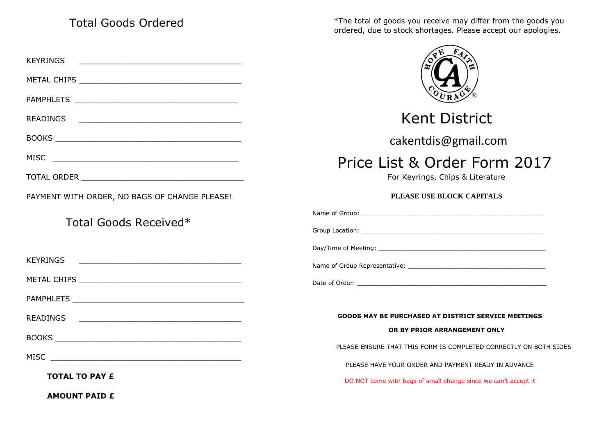## Total Goods Ordered

KEYRINGS \_\_\_\_\_\_\_\_\_\_\_\_\_\_\_\_\_\_\_\_\_\_\_\_\_\_\_\_\_\_\_\_\_\_\_ METAL CHIPS **EXECUTE A LIMIT OF STATE AND STATE** PAMPHLETS \_\_\_\_\_\_\_\_\_\_\_\_\_\_\_\_\_\_\_\_\_\_\_\_\_\_\_\_\_\_\_\_\_\_\_ READINGS \_\_\_\_\_\_\_\_\_\_\_\_\_\_\_\_\_\_\_\_\_\_\_\_\_\_\_\_\_\_\_\_\_\_\_ BOOKS \_\_\_\_\_\_\_\_\_\_\_\_\_\_\_\_\_\_\_\_\_\_\_\_\_\_\_\_\_\_\_\_\_\_\_\_\_\_\_\_ MISC \_\_\_\_\_\_\_\_\_\_\_\_\_\_\_\_\_\_\_\_\_\_\_\_\_\_\_\_\_\_\_\_\_\_\_\_\_\_\_\_ TOTAL ORDER **All and the set of the set of the set of the set of the set of the set of the set of the set of the set of the set of the set of the set of the set of the set of the set of the set of the set of the set of the** PAYMENT WITH ORDER, NO BAGS OF CHANGE PLEASE! Total Goods Received\* KEYRINGS \_\_\_\_\_\_\_\_\_\_\_\_\_\_\_\_\_\_\_\_\_\_\_\_\_\_\_\_\_\_\_\_\_\_\_ METAL CHIPS \_\_\_\_\_\_\_\_\_\_\_\_\_\_\_\_\_\_\_\_\_\_\_\_\_\_\_\_\_\_\_\_\_\_\_ PAMPHLETS \_\_\_\_\_\_\_\_\_\_\_\_\_\_\_\_\_\_\_\_\_\_\_\_\_\_\_\_\_\_\_\_\_\_\_\_\_ READINGS \_\_\_\_\_\_\_\_\_\_\_\_\_\_\_\_\_\_\_\_\_\_\_\_\_\_\_\_\_\_\_\_\_\_\_ BOOKS PROMISS AND THE SERVICE OF THE SERVICE OF THE SERVICE OF THE SERVICE OF THE SERVICE OF THE SERVICE OF THE SERVICE OF THE SERVICE OF THE SERVICE OF THE SERVICE OF THE SERVICE OF THE SERVICE OF THE SERVICE OF THE SERVI  $MISC$ **TOTAL TO PAY £**  ordered, due to stock shortages. Please accept our apologies. Kent District cakentdis@gmail.com Price List & Order Form 2017 For Keyrings, Chips & Literature **PLEASE USE BLOCK CAPITALS**  Name of Group: Group Location: \_\_\_\_\_\_\_\_\_\_\_\_\_\_\_\_\_\_\_\_\_\_\_\_\_\_\_\_\_\_\_\_\_\_\_\_\_\_\_\_\_\_\_\_\_\_\_\_\_ Day/Time of Meeting: \_\_\_\_\_\_\_\_\_\_\_\_\_\_\_\_\_\_\_\_\_\_\_\_\_\_\_\_\_\_\_\_\_\_\_\_\_\_\_\_\_\_\_\_\_ Name of Group Representative: Date of Order: \_\_\_\_\_\_\_\_\_\_\_\_\_\_\_\_\_\_\_\_\_\_\_\_\_\_\_\_\_\_\_\_\_\_\_\_\_\_\_\_\_\_\_\_\_\_\_\_\_\_\_ **GOODS MAY BE PURCHASED AT DISTRICT SERVICE MEETINGS OR BY PRIOR ARRANGEMENT ONLY**  PLEASE ENSURE THAT THIS FORM IS COMPLETED CORRECTLY ON BOTH SIDES PLEASE HAVE YOUR ORDER AND PAYMENT READY IN ADVANCE DO NOT come with bags of small change since we can't accept it

\*The total of goods you receive may differ from the goods you

**AMOUNT PAID £**